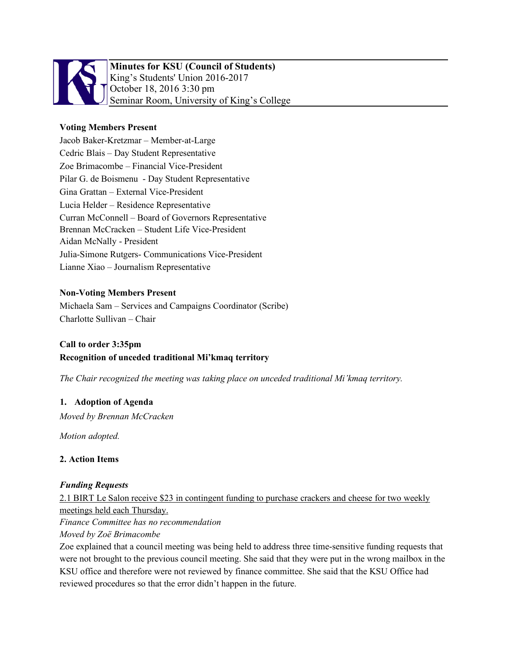

# **Minutes for KSU (Council of Students)** King's Students' Union 2016-2017 October 18, 2016 3:30 pm Seminar Room, University of King's College

# **Voting Members Present**

Jacob Baker-Kretzmar – Member-at-Large Cedric Blais – Day Student Representative Zoe Brimacombe – Financial Vice-President Pilar G. de Boismenu - Day Student Representative Gina Grattan – External Vice-President Lucia Helder – Residence Representative Curran McConnell – Board of Governors Representative Brennan McCracken – Student Life Vice-President Aidan McNally - President Julia-Simone Rutgers- Communications Vice-President Lianne Xiao – Journalism Representative

### **Non-Voting Members Present**

Michaela Sam – Services and Campaigns Coordinator (Scribe) Charlotte Sullivan – Chair

# **Call to order 3:35pm**

### **Recognition of unceded traditional Mi'kmaq territory**

*The Chair recognized the meeting was taking place on unceded traditional Mi'kmaq territory.*

#### **1. Adoption of Agenda**

*Moved by Brennan McCracken*

*Motion adopted.*

### **2. Action Items**

### *Funding Requests*

2.1 BIRT Le Salon receive \$23 in contingent funding to purchase crackers and cheese for two weekly meetings held each Thursday.

*Finance Committee has no recommendation*

*Moved by Zoë Brimacombe*

Zoe explained that a council meeting was being held to address three time-sensitive funding requests that were not brought to the previous council meeting. She said that they were put in the wrong mailbox in the KSU office and therefore were not reviewed by finance committee. She said that the KSU Office had reviewed procedures so that the error didn't happen in the future.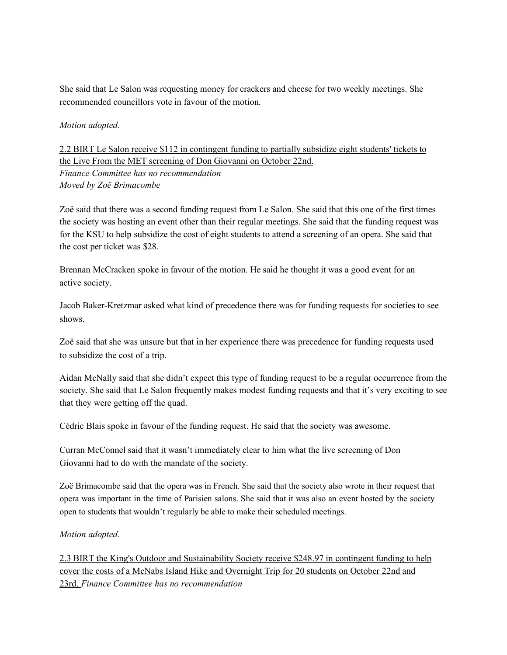She said that Le Salon was requesting money for crackers and cheese for two weekly meetings. She recommended councillors vote in favour of the motion.

*Motion adopted.*

2.2 BIRT Le Salon receive \$112 in contingent funding to partially subsidize eight students' tickets to the Live From the MET screening of Don Giovanni on October 22nd. *Finance Committee has no recommendation Moved by Zoë Brimacombe*

Zoë said that there was a second funding request from Le Salon. She said that this one of the first times the society was hosting an event other than their regular meetings. She said that the funding request was for the KSU to help subsidize the cost of eight students to attend a screening of an opera. She said that the cost per ticket was \$28.

Brennan McCracken spoke in favour of the motion. He said he thought it was a good event for an active society.

Jacob Baker-Kretzmar asked what kind of precedence there was for funding requests for societies to see shows.

Zoë said that she was unsure but that in her experience there was precedence for funding requests used to subsidize the cost of a trip.

Aidan McNally said that she didn't expect this type of funding request to be a regular occurrence from the society. She said that Le Salon frequently makes modest funding requests and that it's very exciting to see that they were getting off the quad.

Cédric Blais spoke in favour of the funding request. He said that the society was awesome.

Curran McConnel said that it wasn't immediately clear to him what the live screening of Don Giovanni had to do with the mandate of the society.

Zoë Brimacombe said that the opera was in French. She said that the society also wrote in their request that opera was important in the time of Parisien salons. She said that it was also an event hosted by the society open to students that wouldn't regularly be able to make their scheduled meetings.

### *Motion adopted.*

2.3 BIRT the King's Outdoor and Sustainability Society receive \$248.97 in contingent funding to help cover the costs of a McNabs Island Hike and Overnight Trip for 20 students on October 22nd and 23rd. *Finance Committee has no recommendation*